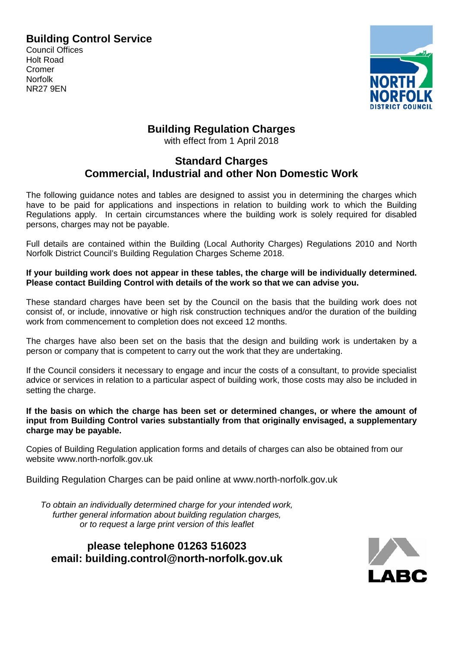### **Building Control Service**

Council Offices Holt Road Cromer Norfolk NR27 9EN



# **Building Regulation Charges**

with effect from 1 April 2018

## **Standard Charges Commercial, Industrial and other Non Domestic Work**

The following guidance notes and tables are designed to assist you in determining the charges which have to be paid for applications and inspections in relation to building work to which the Building Regulations apply. In certain circumstances where the building work is solely required for disabled persons, charges may not be payable.

Full details are contained within the Building (Local Authority Charges) Regulations 2010 and North Norfolk District Council's Building Regulation Charges Scheme 2018.

**If your building work does not appear in these tables, the charge will be individually determined. Please contact Building Control with details of the work so that we can advise you.**

These standard charges have been set by the Council on the basis that the building work does not consist of, or include, innovative or high risk construction techniques and/or the duration of the building work from commencement to completion does not exceed 12 months.

The charges have also been set on the basis that the design and building work is undertaken by a person or company that is competent to carry out the work that they are undertaking.

If the Council considers it necessary to engage and incur the costs of a consultant, to provide specialist advice or services in relation to a particular aspect of building work, those costs may also be included in setting the charge.

**If the basis on which the charge has been set or determined changes, or where the amount of input from Building Control varies substantially from that originally envisaged, a supplementary charge may be payable.**

Copies of Building Regulation application forms and details of charges can also be obtained from our website www.north-norfolk.gov.uk

Building Regulation Charges can be paid online at www.north-norfolk.gov.uk

*To obtain an individually determined charge for your intended work, further general information about building regulation charges, or to request a large print version of this leaflet*

**please telephone 01263 516023 email: [building.control@north-norfolk.gov.uk](mailto:building.control@north-norfolk.gov.uk)**

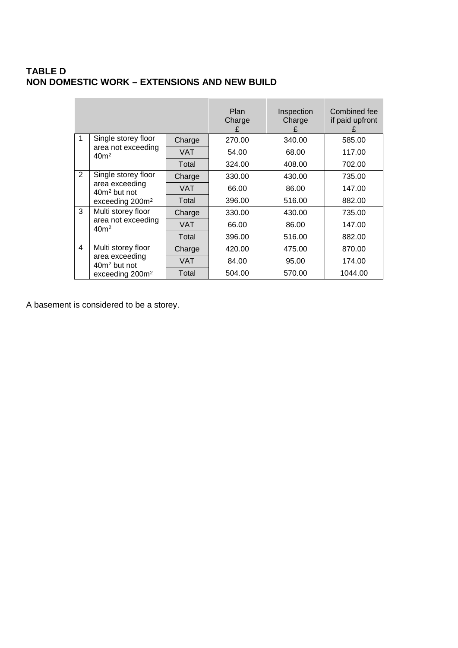### **TABLE D NON DOMESTIC WORK – EXTENSIONS AND NEW BUILD**

|                |                                                                                                  |            | Plan<br>Charge<br>£ | Inspection<br>Charge<br>£ | Combined fee<br>if paid upfront<br>£ |  |
|----------------|--------------------------------------------------------------------------------------------------|------------|---------------------|---------------------------|--------------------------------------|--|
| $\mathbf{1}$   | Single storey floor<br>area not exceeding<br>40 <sup>m²</sup>                                    | Charge     | 270.00              | 340.00                    | 585.00                               |  |
|                |                                                                                                  | <b>VAT</b> | 54.00               | 68.00                     | 117.00                               |  |
|                |                                                                                                  | Total      | 324.00              | 408.00                    | 702.00                               |  |
| $\overline{2}$ | Single storey floor<br>area exceeding<br>40m <sup>2</sup> but not<br>exceeding 200m <sup>2</sup> | Charge     | 330.00              | 430.00                    | 735.00                               |  |
|                |                                                                                                  | VAT        | 66.00               | 86.00                     | 147.00                               |  |
|                |                                                                                                  | Total      | 396.00              | 516.00                    | 882.00                               |  |
| 3              | Multi storey floor<br>area not exceeding<br>40 <sup>m²</sup>                                     | Charge     | 330.00              | 430.00                    | 735.00                               |  |
|                |                                                                                                  | VAT        | 66.00               | 86.00                     | 147.00                               |  |
|                |                                                                                                  | Total      | 396.00              | 516.00                    | 882.00                               |  |
| 4              | Multi storey floor<br>area exceeding<br>$40m2$ but not<br>exceeding $2002$                       | Charge     | 420.00              | 475.00                    | 870.00                               |  |
|                |                                                                                                  | <b>VAT</b> | 84.00               | 95.00                     | 174.00                               |  |
|                |                                                                                                  | Total      | 504.00              | 570.00                    | 1044.00                              |  |

A basement is considered to be a storey.